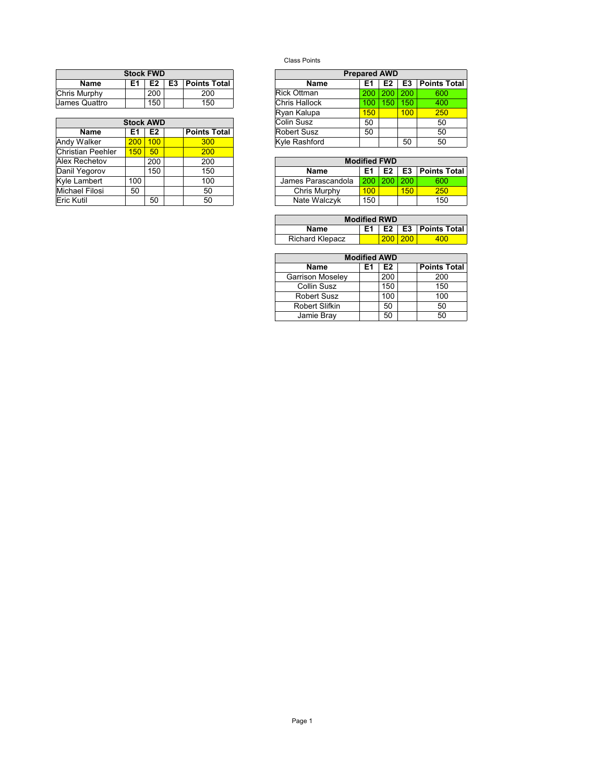|               | <b>Stock FWD</b> |                |    |                     | <b>Prepared AWD</b> |      |                |     |                 |  |
|---------------|------------------|----------------|----|---------------------|---------------------|------|----------------|-----|-----------------|--|
| <b>Name</b>   | E1               | E <sub>2</sub> | E3 | <b>Points Total</b> | Name                |      | E <sub>2</sub> | E3  | <b>Points 1</b> |  |
| Chris Murphy  |                  | 200            |    | 200                 | Rick Ottman         | 200. | $200^{\circ}$  | 200 | 600             |  |
| James Quattro |                  | 150            |    | 150                 | Chris Hallock       | 100  | 150            | 150 | 400             |  |

|                   | <b>Stock AWD</b> |     |                     | Colin Susz               | 50               |     |     |  |
|-------------------|------------------|-----|---------------------|--------------------------|------------------|-----|-----|--|
| <b>Name</b>       | E1               | E2  | <b>Points Total</b> | <b>Robert Susz</b><br>50 |                  |     |     |  |
| Andy Walker       | 200 <sub>1</sub> | 100 | 300                 | Kyle Rashford            | 50               |     |     |  |
| Christian Peehler | 150 <sub>1</sub> | 50  | 200                 |                          |                  |     |     |  |
| Alex Rechetov     |                  | 200 | 200                 | <b>Modified FWD</b>      |                  |     |     |  |
| Danil Yegorov     |                  | 150 | 150                 | Name                     | E1               | E2  | E3  |  |
| Kyle Lambert      | 100              |     | 100                 | James Parascandola       | 200 <sub>1</sub> | 200 | 200 |  |
| Michael Filosi    | 50               |     | 50                  | Chris Murphy             | 100 <sub>1</sub> |     | 150 |  |
|                   |                  |     |                     |                          |                  |     |     |  |
| Eric Kutil        |                  | 50  | 50                  | Nate Walczyk             | 150              |     |     |  |

Class Points

|             | <b>Stock FWD</b> |                |    |                     |                    | <b>Prepared AWD</b> |     |                |                     |
|-------------|------------------|----------------|----|---------------------|--------------------|---------------------|-----|----------------|---------------------|
| <b>Name</b> | E1               | E2             | E3 | <b>Points Total</b> | <b>Name</b>        | E1                  | E2  | E <sub>3</sub> | <b>Points Total</b> |
| Aurphy      |                  | 200            |    | 200                 | <b>Rick Ottman</b> | 200                 | 200 | 200            | 600                 |
| Quattro     |                  | 150            |    | 150                 | Chris Hallock      | 100                 | 50  | 150            | 400                 |
|             |                  |                |    |                     | Ryan Kalupa        | 150                 |     | 100            | 250                 |
|             | <b>Stock AWD</b> |                |    |                     | Colin Susz         | 50                  |     |                | 50                  |
| <b>Name</b> | E1               | E <sub>2</sub> |    | <b>Points Total</b> | <b>Robert Susz</b> | 50                  |     |                | 50                  |
| Valker      | 200              | 100            |    | 300                 | Kyle Rashford      |                     | 50  | 50             |                     |
| .           | $-$              | $-1$           |    | $- - -$             |                    |                     |     |                |                     |

|    | 200 | 200 | <b>Modified FWD</b> |            |                |     |                     |  |  |  |
|----|-----|-----|---------------------|------------|----------------|-----|---------------------|--|--|--|
|    | 150 | 150 | <b>Name</b>         | E1         | E <sub>2</sub> | E3  | <b>Points Total</b> |  |  |  |
| 00 |     | 100 | James Parascandola  | $200 \mid$ |                | 200 | 600                 |  |  |  |
| 50 |     | 50  | Chris Murphy        | 100        |                | 150 | 250                 |  |  |  |
|    | 50  | 50  | Nate Walczyk        | 150        |                |     | 150                 |  |  |  |

| <b>Modified RWD</b>    |  |     |          |                               |  |  |  |  |  |  |
|------------------------|--|-----|----------|-------------------------------|--|--|--|--|--|--|
| Name                   |  |     |          | $E1$   E2   E3   Points Total |  |  |  |  |  |  |
| <b>Richard Klepacz</b> |  | 200 | $1200 -$ | 400                           |  |  |  |  |  |  |

| <b>Modified AWD</b>     |    |     |  |                     |  |  |  |  |  |
|-------------------------|----|-----|--|---------------------|--|--|--|--|--|
| Name                    | E1 | E2  |  | <b>Points Total</b> |  |  |  |  |  |
| <b>Garrison Moseley</b> |    | 200 |  | 200                 |  |  |  |  |  |
| Collin Susz             |    | 150 |  | 150                 |  |  |  |  |  |
| <b>Robert Susz</b>      |    | 100 |  | 100                 |  |  |  |  |  |
| <b>Robert Slifkin</b>   |    | 50  |  | 50                  |  |  |  |  |  |
| Jamie Bray              |    | 50  |  | 50                  |  |  |  |  |  |